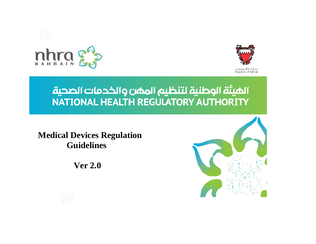



್ನು ಭಾ



Kingdom of Bahrain

الميئة الوطنية لتنظيم الممن والخدمات الصحية NATIONAL HEALTH REGULATORY AUTHORITY

**Medical Devices Regulation Guidelines** 

 **Ver 2.0**



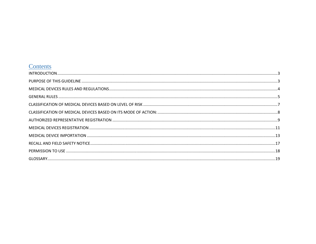## Contents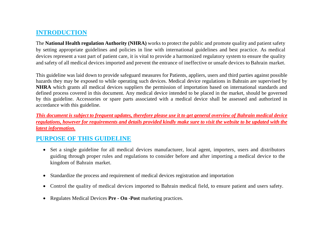# <span id="page-2-0"></span>**INTRODUCTION**

The **National Health regulation Authority (NHRA)** works to protect the public and promote quality and patient safety by setting appropriate guidelines and policies in line with international guidelines and best practice. As medical devices represent a vast part of patient care, it is vital to provide a harmonized regulatory system to ensure the quality and safety of all medical devices imported and prevent the entrance of ineffective or unsafe devices to Bahrain market.

This guideline was laid down to provide safeguard measures for Patients, appliers, users and third parties against possible hazards they may be exposed to while operating such devices. Medical device regulations in Bahrain are supervised by **NHRA** which grants all medical devices suppliers the permission of importation based on international standards and defined process covered in this document. Any medical device intended to be placed in the market, should be governed by this guideline. Accessories or spare parts associated with a medical device shall be assessed and authorized in accordance with this guideline.

*This document is subject to frequent updates, therefore please use it to get general overview of Bahrain medical device regulations, however for requirements and details provided kindly make sure to visit the website to be updated with the latest information.* 

## <span id="page-2-1"></span>**PURPOSE OF THIS GUIDELINE**

- Set a single guideline for all medical devices manufacturer, local agent, importers, users and distributors guiding through proper rules and regulations to consider before and after importing a medical device to the kingdom of Bahrain market.
- Standardize the process and requirement of medical devices registration and importation
- Control the quality of medical devices imported to Bahrain medical field, to ensure patient and users safety.
- Regulates Medical Devices **Pre - On -Post** marketing practices.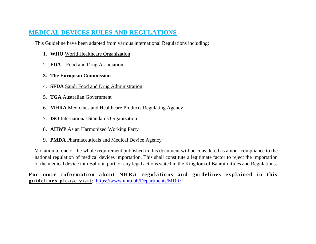## <span id="page-3-0"></span>**MEDICAL DEVICES RULES AND REGULATIONS**

This Guideline have been adapted from various international Regulations including:

- 1. **WHO** World Healthcare Organization
- 2. **FDA** Food and Drug Association
- **3. The European Commission**
- 4. **SFDA** Saudi Food and Drug Administration
- 5. **TGA** Australian Government
- 6. **MHRA** Medicines and Healthcare Products Regulating Agency
- 7. **ISO** International Standards Organization
- 8. **AHWP** Asian Harmonized Working Party
- 9. **PMDA** Pharmaceuticals and Medical Device Agency

Violation to one or the whole requirement published in this document will be considered as a non- compliance to the national regulation of medical devices importation. This shall constitute a legitimate factor to reject the importation of the medical device into Bahrain port, or any legal actions stated in the Kingdom of Bahrain Rules and Regulations.

For more information about NHRA regulations and guidelines explained in this **g u i d e l i n e s p l e a s e v i s i t**: <https://www.nhra.bh/Departments/MDR/>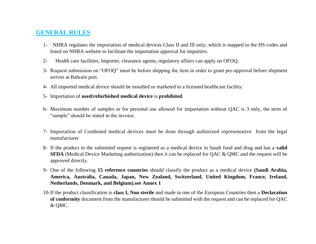### <span id="page-4-0"></span>**GENERAL RULES**

- 1- NHRA regulates the importation of medical devices Class II and III only; which is mapped to the HS codes and listed on NHRA website to facilitate the importation approval for importers.
- 2- Health care facilities, Importer, clearance agents, regulatory affairs can apply on OFOQ.
- 3- Request submission on "OFOQ" must be before shipping the item in order to grant pre-approval before shipment arrives at Bahrain port.
- 4- All imported medical device should be installed or marketed to a licensed healthcare facility.
- 5- Importation of **used/refurbished medical device** is **prohibited**.
- 6- Maximum number of samples or for personal use allowed for importation without QAC is 3 only, the term of "sample" should be stated in the invoice.
- 7- Importation of Combined medical devices must be done through authorized representative from the legal manufacturer
- 8- If the product in the submitted request is registered as a medical device in Saudi food and drug and has a **valid SFDA** (Medical Device Marketing authorization) then it can be replaced for OAC & OMC and the request will be approved directly.
- 9- One of the following **15 reference countries** should classify the product as a medical device **(Saudi Arabia, America, Australia, Canada, Japan, New Zealand, Switzerland, United Kingdom, France, Ireland, Netherlands, Denmark, and Belgium).see Annex 1**
- 10-If the product classification is **class I, Non sterile** and made in one of the European Countries then a **Declaration of conformity** document from the manufacturer should be submitted with the request and can be replaced for QAC & QMC.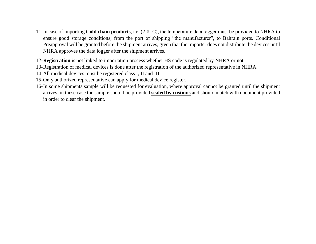- 11-In case of importing **Cold chain products**, i.e. (2-8 ℃), the temperature data logger must be provided to NHRA to ensure good storage conditions; from the port of shipping "the manufacturer", to Bahrain ports. Conditional Preapproval will be granted before the shipment arrives, given that the importer does not distribute the devices until NHRA approves the data logger after the shipment arrives.
- 12-**Registration** is not linked to importation process whether HS code is regulated by NHRA or not.
- 13-Registration of medical devices is done after the registration of the authorized representative in NHRA.
- 14-All medical devices must be registered class I, II and III.
- 15-Only authorized representative can apply for medical device register.
- 16-In some shipments sample will be requested for evaluation, where approval cannot be granted until the shipment arrives, in these case the sample should be provided **sealed by customs** and should match with document provided in order to clear the shipment.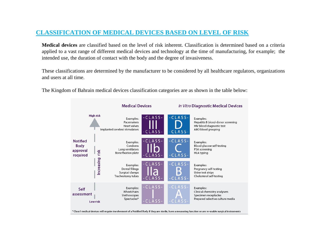### <span id="page-6-0"></span>**CLASSIFICATION OF MEDICAL DEVICES BASED ON LEVEL OF RISK**

**Medical devices** are classified based on the level of risk inherent. Classification is determined based on a criteria applied to a vast range of different medical devices and technology at the time of manufacturing, for example; the intended use, the duration of contact with the body and the degree of invasiveness.

These classifications are determined by the manufacturer to be considered by all healthcare regulators, organizations and users at all time.



The Kingdom of Bahrain medical devices classification categories are as shown in the table below: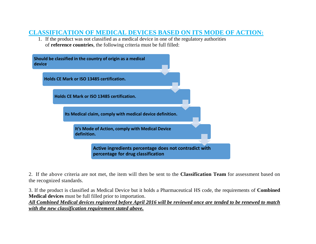### <span id="page-7-0"></span>**CLASSIFICATION OF MEDICAL DEVICES BASED ON ITS MODE OF ACTION:**

1. If the product was not classified as a medical device in one of the regulatory authorities of **reference countries**, the following criteria must be full filled:



2. If the above criteria are not met, the item will then be sent to the **Classification Team** for assessment based on the recognized standards.

3. If the product is classified as Medical Device but it holds a Pharmaceutical HS code, the requirements of **Combined Medical devices** must be full filled prior to importation.

*All Combined Medical devices registered before April 2016 will be reviewed once are tended to be renewed to match with the new classification requirement stated above.*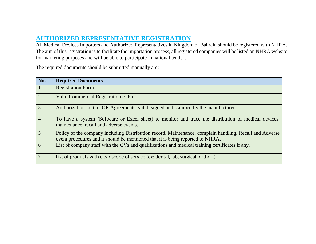# <span id="page-8-0"></span>**AUTHORIZED REPRESENTATIVE REGISTRATION**

All Medical Devices Importers and Authorized Representatives in Kingdom of Bahrain should be registered with NHRA. The aim of this registration is to facilitate the importation process, all registered companies will be listed on NHRA website for marketing purposes and will be able to participate in national tenders.

The required documents should be submitted manually are:

| No.            | <b>Required Documents</b>                                                                                                                                                                |
|----------------|------------------------------------------------------------------------------------------------------------------------------------------------------------------------------------------|
| $\boxed{1}$    | <b>Registration Form.</b>                                                                                                                                                                |
| $\overline{2}$ | Valid Commercial Registration (CR).                                                                                                                                                      |
| $\overline{3}$ | Authorization Letters OR Agreements, valid, signed and stamped by the manufacturer                                                                                                       |
| $\boxed{4}$    | To have a system (Software or Excel sheet) to monitor and trace the distribution of medical devices,<br>maintenance, recall and adverse events.                                          |
| $\overline{5}$ | Policy of the company including Distribution record, Maintenance, complain handling, Recall and Adverse<br>event procedures and it should be mentioned that it is being reported to NHRA |
| $\overline{6}$ | List of company staff with the CVs and qualifications and medical training certificates if any.                                                                                          |
| $\overline{7}$ | List of products with clear scope of service (ex: dental, lab, surgical, ortho).                                                                                                         |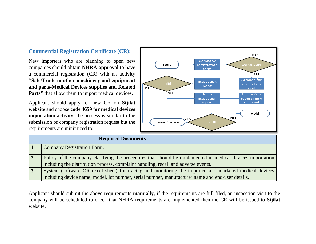#### **Commercial Registration Certificate (CR):**

New importers who are planning to open new companies should obtain **NHRA approval** to have a commercial registration (CR) with an activity **"Sale/Trade in other machinery and equipment and parts-Medical Devices supplies and Related Parts**" that allow them to import medical devices.

Applicant should apply for new CR on **Sijilat website** and choose **code 4659 for medical devices importation activity**, the process is similar to the submission of company registration request but the requirements are minimized to:



| <b>Required Documents</b>                                                                                 |  |
|-----------------------------------------------------------------------------------------------------------|--|
| <b>Company Registration Form.</b>                                                                         |  |
| Policy of the company clarifying the procedures that should be implemented in medical devices importation |  |
| including the distribution process, complaint handling, recall and adverse events.                        |  |
| System (software OR excel sheet) for tracing and monitoring the imported and marketed medical devices     |  |
| including device name, model, lot number, serial number, manufacturer name and end-user details.          |  |

Applicant should submit the above requirements **manually**, if the requirements are full filed, an inspection visit to the company will be scheduled to check that NHRA requirements are implemented then the CR will be issued to **Sijilat** website.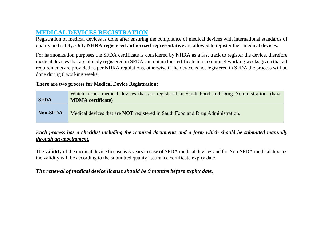# <span id="page-10-0"></span>**MEDICAL DEVICES REGISTRATION**

Registration of medical devices is done after ensuring the compliance of medical devices with international standards of quality and safety. Only **NHRA registered authorized representative** are allowed to register their medical devices.

For harmonization purposes the SFDA certificate is considered by NHRA as a fast track to register the device, therefore medical devices that are already registered in SFDA can obtain the certificate in maximum 4 working weeks given that all requirements are provided as per NHRA regulations, otherwise if the device is not registered in SFDA the process will be done during 8 working weeks.

#### **There are two process for Medical Device Registration:**

| <b>SFDA</b> | Which means medical devices that are registered in Saudi Food and Drug Administration. (have<br><b>MDMA</b> certificate) |
|-------------|--------------------------------------------------------------------------------------------------------------------------|
| Non-SFDA    | Medical devices that are <b>NOT</b> registered in Saudi Food and Drug Administration.                                    |

#### *Each process has a checklist including the required documents and a form which should be submitted manually through an appointment.*

The **validity** of the medical device license is 3 years in case of SFDA medical devices and for Non-SFDA medical devices the validity will be according to the submitted quality assurance certificate expiry date.

### *The renewal of medical device license should be 9 months before expiry date.*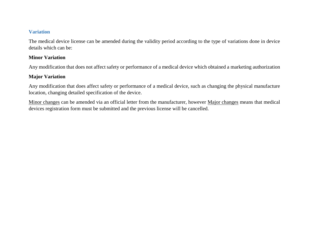#### **Variation**

The medical device license can be amended during the validity period according to the type of variations done in device details which can be:

#### **Minor Variation**

Any modification that does not affect safety or performance of a medical device which obtained a marketing authorization

#### **Major Variation**

Any modification that does affect safety or performance of a medical device, such as changing the physical manufacture location, changing detailed specification of the device.

Minor changes can be amended via an official letter from the manufacturer, however Major changes means that medical devices registration form must be submitted and the previous license will be cancelled.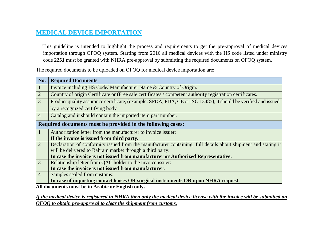# <span id="page-12-0"></span>**MEDICAL DEVICE IMPORTATION**

 This guideline is intended to highlight the process and requirements to get the pre-approval of medical devices importation through OFOQ system. Starting from 2016 all medical devices with the HS code listed under ministry code **2251** must be granted with NHRA pre-approval by submitting the required documents on OFOQ system.

The required documents to be uploaded on OFOQ for medical device importation are:

| No.            | <b>Required Documents</b>                                                                                      |
|----------------|----------------------------------------------------------------------------------------------------------------|
| $\vert 1$      | Invoice including HS Code/ Manufacturer Name & Country of Origin.                                              |
| $\boxed{2}$    | Country of origin Certificate or (Free sale certificates / competent authority registration certificates.      |
| $\overline{3}$ | Product quality assurance certificate, (example: SFDA, FDA, CE or ISO 13485), it should be verified and issued |
|                | by a recognized certifying body.                                                                               |
| $\overline{4}$ | Catalog and it should contain the imported item part number.                                                   |
|                | Required documents must be provided in the following cases:                                                    |
| $\vert$ 1      | Authorization letter from the manufacturer to invoice issuer:                                                  |
|                | If the invoice is issued from third party.                                                                     |
| $\boxed{2}$    | Declaration of conformity issued from the manufacturer containing full details about shipment and stating it   |
|                | will be delivered to Bahrain market through a third party:                                                     |
|                | In case the invoice is not issued from manufacturer or Authorized Representative.                              |
| $\overline{3}$ | Relationship letter from QAC holder to the invoice issuer:                                                     |
|                | In case the invoice is not issued from manufacturer.                                                           |
| $\overline{4}$ | Samples sealed from customs:                                                                                   |
|                | In case of importing contact lenses OR surgical instruments OR upon NHRA request.                              |

**All documents must be in Arabic or English only.**

*If the medical device is registered in NHRA then only the medical device license with the invoice will be submitted on OFOQ to obtain pre-approval to clear the shipment from customs.*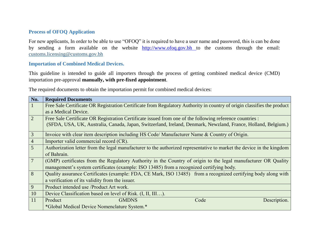#### **Process of OFOQ Application**

For new applicants, In order to be able to use "OFOQ" it is required to have a user name and password, this is can be done by sending a form available on the website [http://www.ofoq.gov.bh](http://www.ofoq.gov.bh/) to the customs through the email: [customs.licensing@customs.gov.bh](http://www.ofoq.gov.bh/)

#### **Importation of Combined Medical Devices.**

This guideline is intended to guide all importers through the process of getting combined medical device (CMD) importation pre-approval **manually, with pre-fixed appointment**.

The required documents to obtain the importation permit for combined medical devices:

| No.             | <b>Required Documents</b>                                                                                               |
|-----------------|-------------------------------------------------------------------------------------------------------------------------|
|                 | Free Sale Certificate OR Registration Certificate from Regulatory Authority in country of origin classifies the product |
|                 | as a Medical Device.                                                                                                    |
| $\overline{2}$  | Free Sale Certificate OR Registration Certificate issued from one of the following reference countries :                |
|                 | (SFDA, USA, UK, Australia, Canada, Japan, Switzerland, Ireland, Denmark, Newzland, France, Holland, Belgium.)           |
| $\mathfrak{Z}$  | Invoice with clear item description including HS Code/ Manufacturer Name & Country of Origin.                           |
| $\overline{4}$  | Importer valid commercial record (CR).                                                                                  |
| 5               | Authorization letter from the legal manufacturer to the authorized representative to market the device in the kingdom   |
|                 | of Bahrain.                                                                                                             |
| $7\phantom{.0}$ | (GMP) certificates from the Regulatory Authority in the Country of origin to the legal manufacturer OR Quality          |
|                 | management's system certificates (example: ISO 13485) from a recognized certifying body.                                |
| 8               | Quality assurance Certificates (example: FDA, CE Mark, ISO 13485) from a recognized certifying body along with          |
|                 | a verification of its validity from the issuer.                                                                         |
| 9               | Product intended use /Product Art work.                                                                                 |
| 10              | Device Classification based on level of Risk. (I, II, III).                                                             |
| 11              | <b>GMDNS</b><br>Product<br>Code<br>Description.                                                                         |
|                 | *Global Medical Device Nomenclature System.*                                                                            |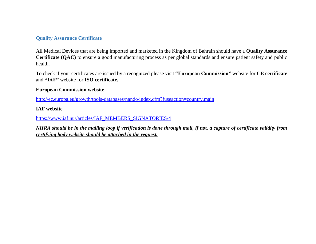#### **Quality Assurance Certificate**

All Medical Devices that are being imported and marketed in the Kingdom of Bahrain should have a **Quality Assurance Certificate (QAC)** to ensure a good manufacturing process as per global standards and ensure patient safety and public health.

To check if your certificates are issued by a recognized please visit **"European Commission"** website for **CE certificate**  and **"IAF"** website for **ISO certificate.**

#### **European Commission website**

<http://ec.europa.eu/growth/tools-databases/nando/index.cfm?fuseaction=country.main>

#### **IAF website**

[https://www.iaf.nu//articles/IAF\\_MEMBERS\\_SIGNATORIES/4](https://www.iaf.nu/articles/IAF_MEMBERS_SIGNATORIES/4)

*NHRA should be in the mailing loop if verification is done through mail, if not, a capture of certificate validity from certifying body website should be attached in the request.*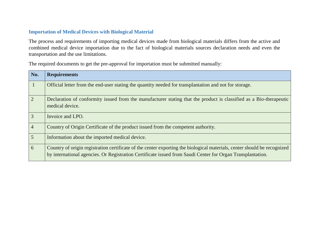#### **Importation of Medical Devices with Biological Material**

The process and requirements of importing medical devices made from biological materials differs from the active and combined medical device importation due to the fact of biological materials sources declaration needs and even the transportation and the use limitations.

The required documents to get the pre-approval for importation must be submitted manually:

| No.            | <b>Requirements</b>                                                                                                                                                                                                                    |
|----------------|----------------------------------------------------------------------------------------------------------------------------------------------------------------------------------------------------------------------------------------|
| $\mathbf{1}$   | Official letter from the end-user stating the quantity needed for transplantation and not for storage.                                                                                                                                 |
| $\overline{2}$ | Declaration of conformity issued from the manufacturer stating that the product is classified as a Bio-therapeutic<br>medical device.                                                                                                  |
| 3              | Invoice and LPO.                                                                                                                                                                                                                       |
| $\overline{4}$ | Country of Origin Certificate of the product issued from the competent authority.                                                                                                                                                      |
| 5              | Information about the imported medical device.                                                                                                                                                                                         |
| 6              | Country of origin registration certificate of the center exporting the biological materials, center should be recognized<br>by international agencies. Or Registration Certificate issued from Saudi Center for Organ Transplantation. |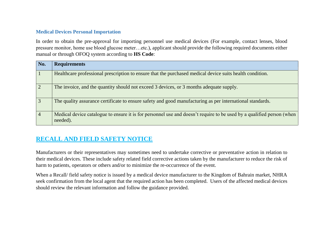#### **Medical Devices Personal Importation**

In order to obtain the pre-approval for importing personnel use medical devices (For example, contact lenses, blood pressure monitor, home use blood glucose meter…etc.), applicant should provide the following required documents either manual or through OFOQ system according to **HS Code**:

| No.            | <b>Requirements</b>                                                                                                               |
|----------------|-----------------------------------------------------------------------------------------------------------------------------------|
| $\vert$ 1      | Healthcare professional prescription to ensure that the purchased medical device suits health condition.                          |
| $\boxed{2}$    | The invoice, and the quantity should not exceed 3 devices, or 3 months adequate supply.                                           |
| $\overline{3}$ | The quality assurance certificate to ensure safety and good manufacturing as per international standards.                         |
| $\vert 4$      | Medical device catalogue to ensure it is for personnel use and doesn't require to be used by a qualified person (when<br>needed). |

# <span id="page-16-0"></span>**RECALL AND FIELD SAFETY NOTICE**

Manufacturers or their representatives may sometimes need to undertake corrective or preventative action in relation to their medical devices. These include safety related field corrective actions taken by the manufacturer to reduce the risk of harm to patients, operators or others and/or to minimize the re-occurrence of the event.

When a Recall/ field safety notice is issued by a medical device manufacturer to the Kingdom of Bahrain market, NHRA seek confirmation from the local agent that the required action has been completed. Users of the affected medical devices should review the relevant information and follow the guidance provided.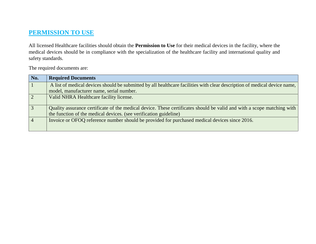# <span id="page-17-0"></span>**PERMISSION TO USE**

All licensed Healthcare facilities should obtain the **Permission to Use** for their medical devices in the facility, where the medical devices should be in compliance with the specialization of the healthcare facility and international quality and safety standards.

The required documents are:

| No.            | <b>Required Documents</b>                                                                                                                                                                   |
|----------------|---------------------------------------------------------------------------------------------------------------------------------------------------------------------------------------------|
| $\mathbf{1}$   | A list of medical devices should be submitted by all healthcare facilities with clear description of medical device name,                                                                   |
|                | model, manufacturer name, serial number.                                                                                                                                                    |
| $\overline{2}$ | Valid NHRA Healthcare facility license.                                                                                                                                                     |
| $\overline{3}$ | Quality assurance certificate of the medical device. These certificates should be valid and with a scope matching with<br>the function of the medical devices. (see verification guideline) |
| $\overline{4}$ | Invoice or OFOQ reference number should be provided for purchased medical devices since 2016.                                                                                               |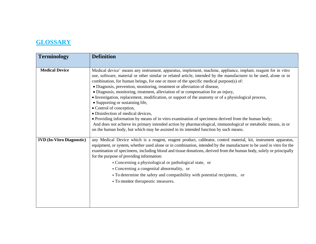# <span id="page-18-0"></span>**GLOSSARY**

| <b>Terminology</b>               | <b>Definition</b>                                                                                                                                                                                                                                                                                                                                                                                                                                                                                                                                                                                                                                                                                                                                                                                                                                                                                                                                                                                                         |
|----------------------------------|---------------------------------------------------------------------------------------------------------------------------------------------------------------------------------------------------------------------------------------------------------------------------------------------------------------------------------------------------------------------------------------------------------------------------------------------------------------------------------------------------------------------------------------------------------------------------------------------------------------------------------------------------------------------------------------------------------------------------------------------------------------------------------------------------------------------------------------------------------------------------------------------------------------------------------------------------------------------------------------------------------------------------|
| <b>Medical Device</b>            | Medical device' means any instrument, apparatus, implement, machine, appliance, implant, reagent for in vitro<br>use, software, material or other similar or related article, intended by the manufacturer to be used, alone or in<br>combination, for human beings, for one or more of the specific medical purpose(s) of:<br>· Diagnosis, prevention, monitoring, treatment or alleviation of disease,<br>· Diagnosis, monitoring, treatment, alleviation of or compensation for an injury,<br>• Investigation, replacement, modification, or support of the anatomy or of a physiological process,<br>• Supporting or sustaining life,<br>• Control of conception,<br>· Disinfection of medical devices,<br>• Providing information by means of in vitro examination of specimens derived from the human body;<br>And does not achieve its primary intended action by pharmacological, immunological or metabolic means, in or<br>on the human body, but which may be assisted in its intended function by such means. |
| <b>IVD</b> (In-Vitro Diagnostic) | any Medical Device which is a reagent, reagent product, calibrator, control material, kit, instrument apparatus,<br>equipment, or system, whether used alone or in combination, intended by the manufacturer to be used in vitro for the<br>examination of specimens, including blood and tissue donations, derived from the human body, solely or principally<br>for the purpose of providing information:<br>• Concerning a physiological or pathological state, or<br>• Concerning a congenital abnormality, or<br>• To determine the safety and compatibility with potential recipients, or<br>• To monitor therapeutic measures.                                                                                                                                                                                                                                                                                                                                                                                     |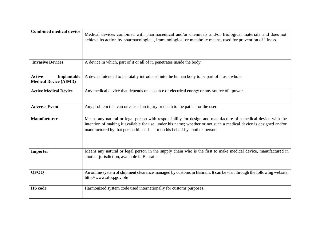| <b>Combined medical device</b>                               | Medical devices combined with pharmaceutical and/or chemicals and/or Biological materials and does not<br>achieve its action by pharmacological, immunological or metabolic means, used for prevention of illness.                                                                                               |
|--------------------------------------------------------------|------------------------------------------------------------------------------------------------------------------------------------------------------------------------------------------------------------------------------------------------------------------------------------------------------------------|
| <b>Invasive Devices</b>                                      | A device in which, part of it or all of it, penetrates inside the body.                                                                                                                                                                                                                                          |
| <b>Active</b><br>Implantable<br><b>Medical Device (AIMD)</b> | A device intended to be totally introduced into the human body to be part of it as a whole.                                                                                                                                                                                                                      |
| <b>Active Medical Device</b>                                 | Any medical device that depends on a source of electrical energy or any source of power.                                                                                                                                                                                                                         |
| <b>Adverse Event</b>                                         | Any problem that can or caused an injury or death to the patient or the user.                                                                                                                                                                                                                                    |
| <b>Manufacturer</b>                                          | Means any natural or legal person with responsibility for design and manufacture of a medical device with the<br>intention of making it available for use, under his name; whether or not such a medical device is designed and/or<br>manufactured by that person himself<br>or on his behalf by another person. |
| Importer                                                     | Means any natural or legal person in the supply chain who is the first to make medical device, manufactured in<br>another jurisdiction, available in Bahrain.                                                                                                                                                    |
| <b>OFOQ</b>                                                  | An online system of shipment clearance managed by customs in Bahrain. It can be visit through the following website:<br>http://www.ofoq.gov.bh/                                                                                                                                                                  |
| <b>HS</b> code                                               | Harmonized system code used internationally for customs purposes.                                                                                                                                                                                                                                                |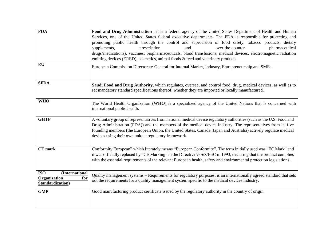| <b>FDA</b><br>EU                                                        | Food and Drug Administration, it is a federal agency of the United States Department of Health and Human<br>Services, one of the United States federal executive departments. The FDA is responsible for protecting and<br>promoting public health through the control and supervision of food safety, tobacco products, dietary<br>pharmaceutical<br>supplements,<br>prescription<br>over-the-counter<br>and<br>drugs(medications), vaccines, biopharmaceuticals, blood transfusions, medical devices, electromagnetic radiation<br>emitting devices (ERED), cosmetics, animal foods & feed and veterinary products.<br>European Commission Directorate-General for Internal Market, Industry, Entrepreneurship and SMEs. |
|-------------------------------------------------------------------------|----------------------------------------------------------------------------------------------------------------------------------------------------------------------------------------------------------------------------------------------------------------------------------------------------------------------------------------------------------------------------------------------------------------------------------------------------------------------------------------------------------------------------------------------------------------------------------------------------------------------------------------------------------------------------------------------------------------------------|
| <b>SFDA</b>                                                             | Saudi Food and Drug Authority, which regulates, oversee, and control food, drug, medical devices, as well as to<br>set mandatory standard specifications thereof, whether they are imported or locally manufactured.                                                                                                                                                                                                                                                                                                                                                                                                                                                                                                       |
| <b>WHO</b>                                                              | The World Health Organization (WHO) is a specialized agency of the United Nations that is concerned with<br>international public health.                                                                                                                                                                                                                                                                                                                                                                                                                                                                                                                                                                                   |
| <b>GHTF</b>                                                             | A voluntary group of representatives from national medical device regulatory authorities (such as the U.S. Food and<br>Drug Administration (FDA)) and the members of the medical device industry. The representatives from its five<br>founding members (the European Union, the United States, Canada, Japan and Australia) actively regulate medical<br>devices using their own unique regulatory framework.                                                                                                                                                                                                                                                                                                             |
| <b>CE</b> mark                                                          | Conformity European" which literately means "European Conformity". The term initially used was "EC Mark" and<br>it was officially replaced by "CE Marking" in the Directive 93/68/EEC in 1993, declaring that the product complies<br>with the essential requirements of the relevant European health, safety and environmental protection legislations.                                                                                                                                                                                                                                                                                                                                                                   |
| <b>ISO</b><br>(International<br>Organization<br>for<br>Standardization) | Quality management systems – Requirements for regulatory purposes, is an internationally agreed standard that sets<br>out the requirements for a quality management system specific to the medical devices industry.                                                                                                                                                                                                                                                                                                                                                                                                                                                                                                       |
| <b>GMP</b>                                                              | Good manufacturing product certificate issued by the regulatory authority in the country of origin.                                                                                                                                                                                                                                                                                                                                                                                                                                                                                                                                                                                                                        |